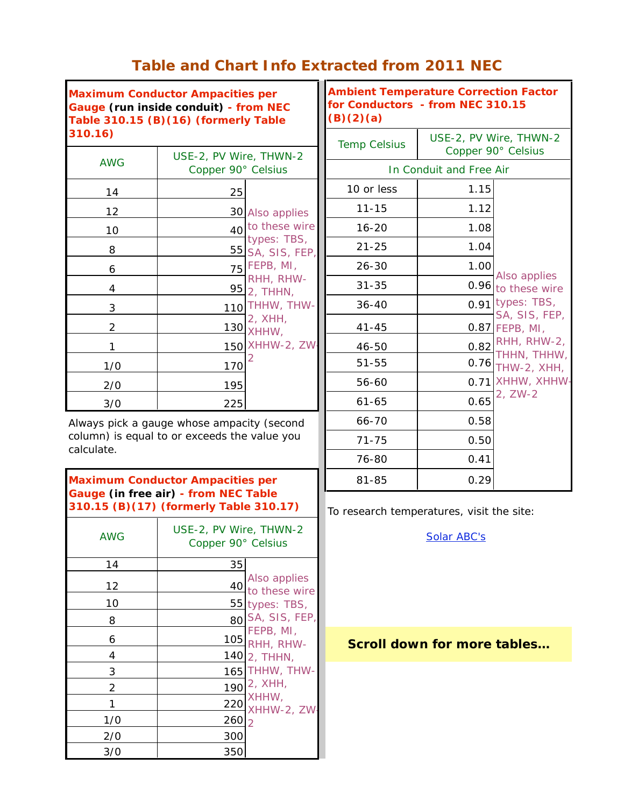## **Table and Chart Info Extracted from 2011 NEC**  Ū.

| <b>Maximum Conductor Ampacities per</b><br>Gauge (run inside conduit) - from NEC<br>Table 310.15 (B)(16) (formerly Table |                                                                                | <b>Ambient Temperature Correction Factor</b><br>for Conductors - from NEC 310.15<br>(B)(2)(a) |                                           |                                    |                                      |
|--------------------------------------------------------------------------------------------------------------------------|--------------------------------------------------------------------------------|-----------------------------------------------------------------------------------------------|-------------------------------------------|------------------------------------|--------------------------------------|
| 310.16)<br>USE-2, PV Wire, THWN-2                                                                                        |                                                                                | USE-2, PV Wire, THWN-2<br><b>Temp Celsius</b><br>Copper 90° Celsius                           |                                           |                                    |                                      |
| <b>AWG</b>                                                                                                               | Copper 90° Celsius                                                             |                                                                                               | In Conduit and Free Air                   |                                    |                                      |
| 14                                                                                                                       | 25                                                                             |                                                                                               | 10 or less                                | 1.15                               |                                      |
| 12                                                                                                                       |                                                                                | 30 Also applies                                                                               | $11 - 15$                                 | 1.12                               |                                      |
| 10                                                                                                                       |                                                                                | 40 to these wire                                                                              | $16 - 20$                                 | 1.08                               |                                      |
| 8                                                                                                                        |                                                                                | types: TBS,<br>55 SA, SIS, FEP,                                                               | $21 - 25$                                 | 1.04                               |                                      |
| 6                                                                                                                        |                                                                                | $75$ FEPB, MI,                                                                                | $26 - 30$                                 | 1.00                               |                                      |
| $\overline{4}$                                                                                                           | <u>95</u>                                                                      | RHH, RHW-<br>2, THHN,                                                                         | $31 - 35$                                 |                                    | Also applies<br>$0.96$ to these wire |
| $\mathfrak{Z}$                                                                                                           |                                                                                | 110 THHW, THW-                                                                                | $36 - 40$                                 |                                    | $0.91$ types: TBS,                   |
| $\overline{2}$                                                                                                           | <u> 130</u>                                                                    | 2, XHH,<br>XHHW,                                                                              | $41 - 45$                                 |                                    | SA, SIS, FEP,<br>0.87 FEPB, MI,      |
| 1                                                                                                                        |                                                                                | 150 XHHW-2, ZW                                                                                | 46-50                                     | 0.82                               | RHH, RHW-2,                          |
| 1/0                                                                                                                      | 170                                                                            |                                                                                               | $51 - 55$                                 | 0.76                               | THHN, THHW,<br>THW-2, XHH,           |
| 2/0                                                                                                                      | 195                                                                            |                                                                                               | 56-60                                     |                                    | 0.71 XHHW, XHHW                      |
| 3/0                                                                                                                      | 225                                                                            |                                                                                               | $61 - 65$                                 | 0.65                               | $2, ZW-2$                            |
| Always pick a gauge whose ampacity (second<br>column) is equal to or exceeds the value you<br>calculate.                 |                                                                                |                                                                                               | 66-70                                     | 0.58                               |                                      |
|                                                                                                                          |                                                                                |                                                                                               | $71 - 75$                                 | 0.50                               |                                      |
|                                                                                                                          |                                                                                |                                                                                               | 76-80                                     | 0.41                               |                                      |
| <b>Maximum Conductor Ampacities per</b>                                                                                  |                                                                                |                                                                                               | 81-85                                     | 0.29                               |                                      |
|                                                                                                                          | Gauge (in free air) - from NEC Table<br>310.15 (B)(17) (formerly Table 310.17) |                                                                                               | To research temperatures, visit the site: |                                    |                                      |
| <b>AWG</b>                                                                                                               | USE-2, PV Wire, THWN-2<br>Copper 90° Celsius                                   |                                                                                               | Solar ABC's                               |                                    |                                      |
| 14                                                                                                                       | 35                                                                             |                                                                                               |                                           |                                    |                                      |
| 12                                                                                                                       |                                                                                | Also applies<br>40 to these wire                                                              |                                           |                                    |                                      |
| 10                                                                                                                       |                                                                                | 55 types: TBS,                                                                                |                                           |                                    |                                      |
| 8                                                                                                                        |                                                                                | 80 SA, SIS, FEP,<br>FEPB, MI,                                                                 |                                           |                                    |                                      |
| 6                                                                                                                        |                                                                                | 105 RHH, RHW-                                                                                 |                                           | <b>Scroll down for more tables</b> |                                      |
| 4                                                                                                                        |                                                                                | <u>140 2, THHN, </u>                                                                          |                                           |                                    |                                      |
| $\sqrt{3}$                                                                                                               |                                                                                | 165 THHW, THW-<br>$190$ 2, XHH,                                                               |                                           |                                    |                                      |
| $\overline{2}$<br>$\mathbf{1}$                                                                                           | 220                                                                            | XHHW,                                                                                         |                                           |                                    |                                      |
| 1/0                                                                                                                      | 260z                                                                           | XHHW-2, ZW                                                                                    |                                           |                                    |                                      |
| 2/0                                                                                                                      | 300                                                                            |                                                                                               |                                           |                                    |                                      |
| 3/0                                                                                                                      | 350                                                                            |                                                                                               |                                           |                                    |                                      |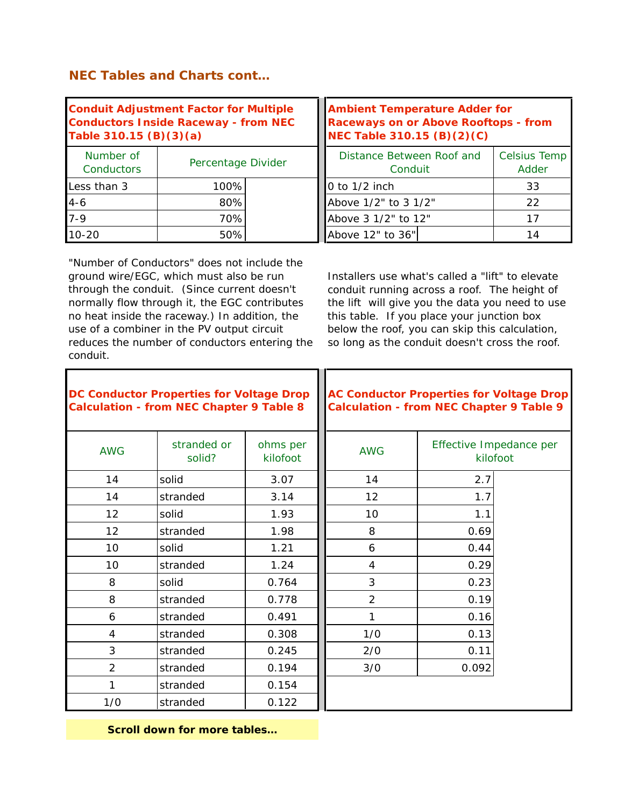## *NEC Tables and Charts cont…*

| <b>Conduit Adjustment Factor for Multiple</b><br><b>Conductors Inside Raceway - from NEC</b><br>Table 310.15 (B)(3)(a) |                    |  | <b>Ambient Temperature Adder for</b><br>Raceways on or Above Rooftops - from<br>NEC Table 310.15 (B)(2)(C) |                       |  |
|------------------------------------------------------------------------------------------------------------------------|--------------------|--|------------------------------------------------------------------------------------------------------------|-----------------------|--|
| Number of<br><b>Conductors</b>                                                                                         | Percentage Divider |  | Distance Between Roof and<br>Conduit                                                                       | Celsius Temp<br>Adder |  |
| Less than 3                                                                                                            | 100%               |  | $\vert$ 0 to 1/2 inch                                                                                      | 33                    |  |
| $4 - 6$                                                                                                                | 80%                |  | Above 1/2" to 3 1/2"                                                                                       | 22                    |  |
| $7 - 9$                                                                                                                | 70%                |  | Above 3 1/2" to 12"                                                                                        |                       |  |
| $10 - 20$                                                                                                              | 50%                |  | Above 12" to 36"                                                                                           | 14                    |  |

"Number of Conductors" does not include the ground wire/EGC, which must also be run through the conduit. (Since current doesn't normally flow through it, the EGC contributes no heat inside the raceway.) In addition, the use of a combiner in the PV output circuit reduces the number of conductors entering the conduit.

Installers use what's called a "lift" to elevate conduit running across a roof. The height of the lift will give you the data you need to use this table. If you place your junction box below the roof, you can skip this calculation, so long as the conduit doesn't cross the roof.

| <b>DC Conductor Properties for Voltage Drop</b><br><b>Calculation - from NEC Chapter 9 Table 8</b> |                       |                      | <b>AC Conductor Properties for Voltage Drop</b><br><b>Calculation - from NEC Chapter 9 Table 9</b> |                                     |  |
|----------------------------------------------------------------------------------------------------|-----------------------|----------------------|----------------------------------------------------------------------------------------------------|-------------------------------------|--|
| <b>AWG</b>                                                                                         | stranded or<br>solid? | ohms per<br>kilofoot | <b>AWG</b>                                                                                         | Effective Impedance per<br>kilofoot |  |
| 14                                                                                                 | solid                 | 3.07                 | 14                                                                                                 | 2.7                                 |  |
| 14                                                                                                 | stranded              | 3.14                 | 12                                                                                                 | 1.7                                 |  |
| 12                                                                                                 | solid                 | 1.93                 | 10                                                                                                 | 1.1                                 |  |
| 12                                                                                                 | stranded              | 1.98                 | 8                                                                                                  | 0.69                                |  |
| 10                                                                                                 | solid                 | 1.21                 | 6                                                                                                  | 0.44                                |  |
| 10                                                                                                 | stranded              | 1.24                 | 4                                                                                                  | 0.29                                |  |
| 8                                                                                                  | solid                 | 0.764                | 3                                                                                                  | 0.23                                |  |
| 8                                                                                                  | stranded              | 0.778                | $\overline{2}$                                                                                     | 0.19                                |  |
| 6                                                                                                  | stranded              | 0.491                | 1                                                                                                  | 0.16                                |  |
| 4                                                                                                  | stranded              | 0.308                | 1/0                                                                                                | 0.13                                |  |
| 3                                                                                                  | stranded              | 0.245                | 2/0                                                                                                | 0.11                                |  |
| $\overline{2}$                                                                                     | stranded              | 0.194                | 3/0                                                                                                | 0.092                               |  |
| 1                                                                                                  | stranded              | 0.154                |                                                                                                    |                                     |  |
| 1/0                                                                                                | stranded              | 0.122                |                                                                                                    |                                     |  |

*Scroll down for more tables…*